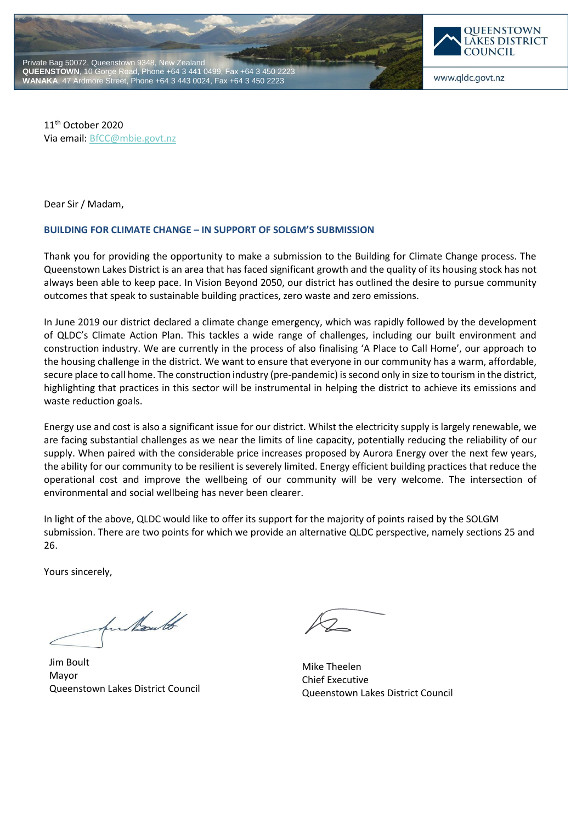



www.qldc.govt.nz

11th October 2020 Via email[: BfCC@mbie.govt.nz](mailto:BfCC@mbie.govt.nz)

Dear Sir / Madam,

## **BUILDING FOR CLIMATE CHANGE – IN SUPPORT OF SOLGM'S SUBMISSION**

Thank you for providing the opportunity to make a submission to the Building for Climate Change process. The Queenstown Lakes District is an area that has faced significant growth and the quality of its housing stock has not always been able to keep pace. In Vision Beyond 2050, our district has outlined the desire to pursue community outcomes that speak to sustainable building practices, zero waste and zero emissions.

In June 2019 our district declared a climate change emergency, which was rapidly followed by the development of QLDC's Climate Action Plan. This tackles a wide range of challenges, including our built environment and construction industry. We are currently in the process of also finalising 'A Place to Call Home', our approach to the housing challenge in the district. We want to ensure that everyone in our community has a warm, affordable, secure place to call home. The construction industry (pre-pandemic) is second only in size to tourism in the district, highlighting that practices in this sector will be instrumental in helping the district to achieve its emissions and waste reduction goals.

Energy use and cost is also a significant issue for our district. Whilst the electricity supply is largely renewable, we are facing substantial challenges as we near the limits of line capacity, potentially reducing the reliability of our supply. When paired with the considerable price increases proposed by Aurora Energy over the next few years, the ability for our community to be resilient is severely limited. Energy efficient building practices that reduce the operational cost and improve the wellbeing of our community will be very welcome. The intersection of environmental and social wellbeing has never been clearer.

In light of the above, QLDC would like to offer its support for the majority of points raised by the SOLGM submission. There are two points for which we provide an alternative QLDC perspective, namely sections 25 and 26.

Yours sincerely,

for North

Jim Boult Mayor Queenstown Lakes District Council

Mike Theelen Chief Executive Queenstown Lakes District Council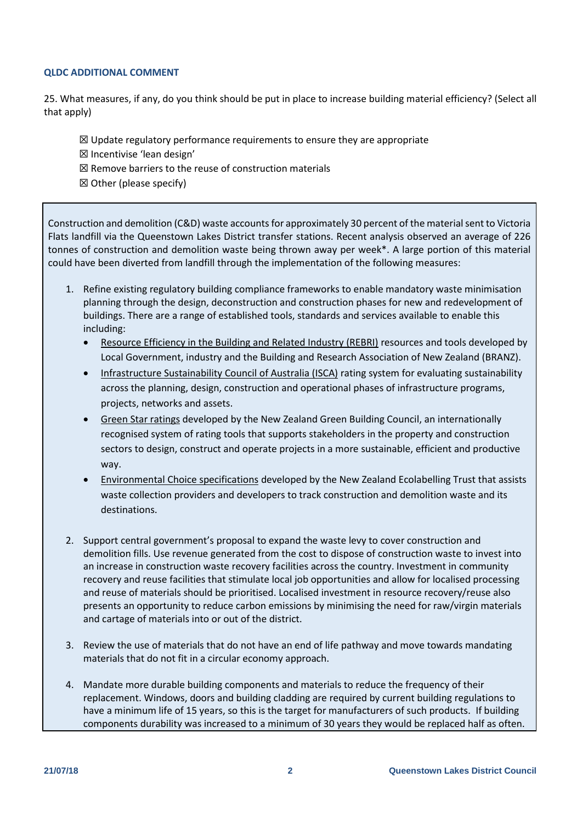## **QLDC ADDITIONAL COMMENT**

25. What measures, if any, do you think should be put in place to increase building material efficiency? (Select all that apply)

- $\boxtimes$  Update regulatory performance requirements to ensure they are appropriate
- ☒ Incentivise 'lean design'
- $\boxtimes$  Remove barriers to the reuse of construction materials
- $\boxtimes$  Other (please specify)

Construction and demolition (C&D) waste accounts for approximately 30 percent of the material sent to Victoria Flats landfill via the Queenstown Lakes District transfer stations. Recent analysis observed an average of 226 tonnes of construction and demolition waste being thrown away per week\*. A large portion of this material could have been diverted from landfill through the implementation of the following measures:

- 1. Refine existing regulatory building compliance frameworks to enable mandatory waste minimisation planning through the design, deconstruction and construction phases for new and redevelopment of buildings. There are a range of established tools, standards and services available to enable this including:
	- [Resource Efficiency in the Building and Related Industry \(REBRI\)](https://www.branz.co.nz/sustainable-building/reducing-building-waste/rebri/) resources and tools developed by Local Government, industry and the Building and Research Association of New Zealand (BRANZ).
	- [Infrastructure Sustainability Council of Australia \(ISCA\)](https://www.isca.org.au/) rating system for evaluating sustainability across the planning, design, construction and operational phases of infrastructure programs, projects, networks and assets.
	- [Green Star ratings](https://www.nzgbc.org.nz/GreenStar) developed by the New Zealand Green Building Council, an internationally recognised system of rating tools that supports stakeholders in the property and construction sectors to design, construct and operate projects in a more sustainable, efficient and productive way.
	- [Environmental Choice specifications](https://environmentalchoice.org.nz/our-news/latest-news/construction-and-demolition-waste-management-specification-goes-live/) developed by the New Zealand Ecolabelling Trust that assists waste collection providers and developers to track construction and demolition waste and its destinations.
- 2. Support central government's proposal to expand the waste levy to cover construction and demolition fills. Use revenue generated from the cost to dispose of construction waste to invest into an increase in construction waste recovery facilities across the country. Investment in community recovery and reuse facilities that stimulate local job opportunities and allow for localised processing and reuse of materials should be prioritised. Localised investment in resource recovery/reuse also presents an opportunity to reduce carbon emissions by minimising the need for raw/virgin materials and cartage of materials into or out of the district.
- 3. Review the use of materials that do not have an end of life pathway and move towards mandating materials that do not fit in a circular economy approach.
- 4. Mandate more durable building components and materials to reduce the frequency of their replacement. Windows, doors and building cladding are required by current building regulations to have a minimum life of 15 years, so this is the target for manufacturers of such products. If building components durability was increased to a minimum of 30 years they would be replaced half as often.